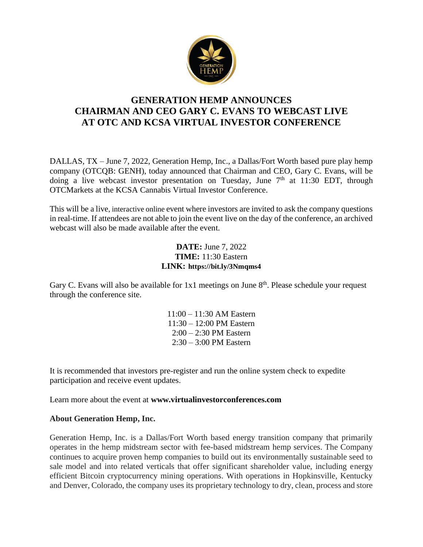

# **GENERATION HEMP ANNOUNCES CHAIRMAN AND CEO GARY C. EVANS TO WEBCAST LIVE AT OTC AND KCSA VIRTUAL INVESTOR CONFERENCE**

DALLAS, TX – June 7, 2022, Generation Hemp, Inc., a Dallas/Fort Worth based pure play hemp company (OTCQB: GENH), today announced that Chairman and CEO, Gary C. Evans, will be doing a live webcast investor presentation on Tuesday, June  $7<sup>th</sup>$  at 11:30 EDT, through OTCMarkets at the KCSA Cannabis Virtual Investor Conference.

This will be a live, interactive online event where investors are invited to ask the company questions in real-time. If attendees are not able to join the event live on the day of the conference, an archived webcast will also be made available after the event.

# **DATE:** June 7, 2022 **TIME:** 11:30 Eastern **LINK: <https://bit.ly/3Nmqms4>**

Gary C. Evans will also be available for  $1x1$  meetings on June  $8<sup>th</sup>$ . Please schedule your request through the conference site.

> 11:00 – 11:30 AM Eastern 11:30 – 12:00 PM Eastern 2:00 – 2:30 PM Eastern 2:30 – 3:00 PM Eastern

It is recommended that investors pre-register and run the online system check to expedite participation and receive event updates.

Learn more about the event at **[www.virtualinvestorconferences.com](http://www.virtualinvestorconferences.com/)**

#### **About Generation Hemp, Inc.**

Generation Hemp, Inc. is a Dallas/Fort Worth based energy transition company that primarily operates in the hemp midstream sector with fee-based midstream hemp services. The Company continues to acquire proven hemp companies to build out its environmentally sustainable seed to sale model and into related verticals that offer significant shareholder value, including energy efficient Bitcoin cryptocurrency mining operations. With operations in Hopkinsville, Kentucky and Denver, Colorado, the company uses its proprietary technology to dry, clean, process and store